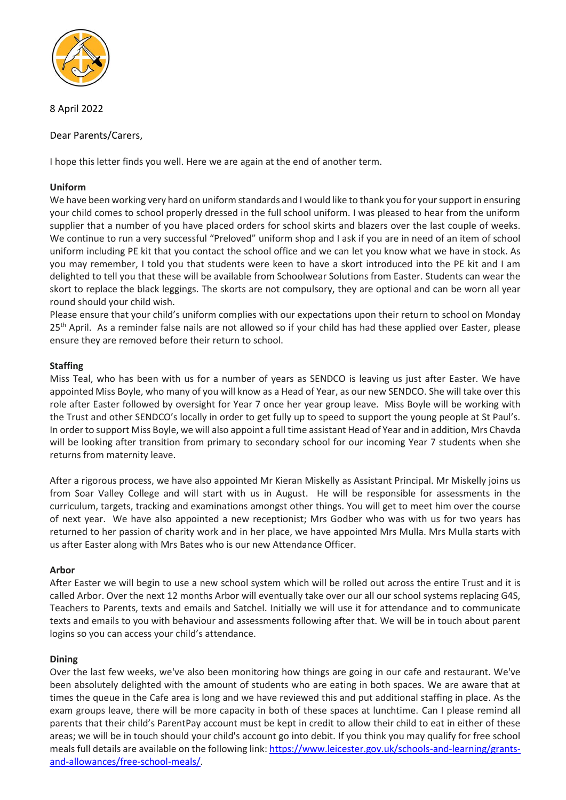

8 April 2022

Dear Parents/Carers,

I hope this letter finds you well. Here we are again at the end of another term.

# **Uniform**

We have been working very hard on uniform standards and I would like to thank you for your support in ensuring your child comes to school properly dressed in the full school uniform. I was pleased to hear from the uniform supplier that a number of you have placed orders for school skirts and blazers over the last couple of weeks. We continue to run a very successful "Preloved" uniform shop and I ask if you are in need of an item of school uniform including PE kit that you contact the school office and we can let you know what we have in stock. As you may remember, I told you that students were keen to have a skort introduced into the PE kit and I am delighted to tell you that these will be available from Schoolwear Solutions from Easter. Students can wear the skort to replace the black leggings. The skorts are not compulsory, they are optional and can be worn all year round should your child wish.

Please ensure that your child's uniform complies with our expectations upon their return to school on Monday 25<sup>th</sup> April. As a reminder false nails are not allowed so if your child has had these applied over Easter, please ensure they are removed before their return to school.

# **Staffing**

Miss Teal, who has been with us for a number of years as SENDCO is leaving us just after Easter. We have appointed Miss Boyle, who many of you will know as a Head of Year, as our new SENDCO. She will take over this role after Easter followed by oversight for Year 7 once her year group leave. Miss Boyle will be working with the Trust and other SENDCO's locally in order to get fully up to speed to support the young people at St Paul's. In order to support Miss Boyle, we will also appoint a full time assistant Head of Year and in addition, Mrs Chavda will be looking after transition from primary to secondary school for our incoming Year 7 students when she returns from maternity leave.

After a rigorous process, we have also appointed Mr Kieran Miskelly as Assistant Principal. Mr Miskelly joins us from Soar Valley College and will start with us in August. He will be responsible for assessments in the curriculum, targets, tracking and examinations amongst other things. You will get to meet him over the course of next year. We have also appointed a new receptionist; Mrs Godber who was with us for two years has returned to her passion of charity work and in her place, we have appointed Mrs Mulla. Mrs Mulla starts with us after Easter along with Mrs Bates who is our new Attendance Officer.

# **Arbor**

After Easter we will begin to use a new school system which will be rolled out across the entire Trust and it is called Arbor. Over the next 12 months Arbor will eventually take over our all our school systems replacing G4S, Teachers to Parents, texts and emails and Satchel. Initially we will use it for attendance and to communicate texts and emails to you with behaviour and assessments following after that. We will be in touch about parent logins so you can access your child's attendance.

# **Dining**

Over the last few weeks, we've also been monitoring how things are going in our cafe and restaurant. We've been absolutely delighted with the amount of students who are eating in both spaces. We are aware that at times the queue in the Cafe area is long and we have reviewed this and put additional staffing in place. As the exam groups leave, there will be more capacity in both of these spaces at lunchtime. Can I please remind all parents that their child's ParentPay account must be kept in credit to allow their child to eat in either of these areas; we will be in touch should your child's account go into debit. If you think you may qualify for free school meals full details are available on the following link: [https://www.leicester.gov.uk/schools-and-learning/grants](https://www.leicester.gov.uk/schools-and-learning/grants-and-allowances/free-school-meals/)[and-allowances/free-school-meals/.](https://www.leicester.gov.uk/schools-and-learning/grants-and-allowances/free-school-meals/)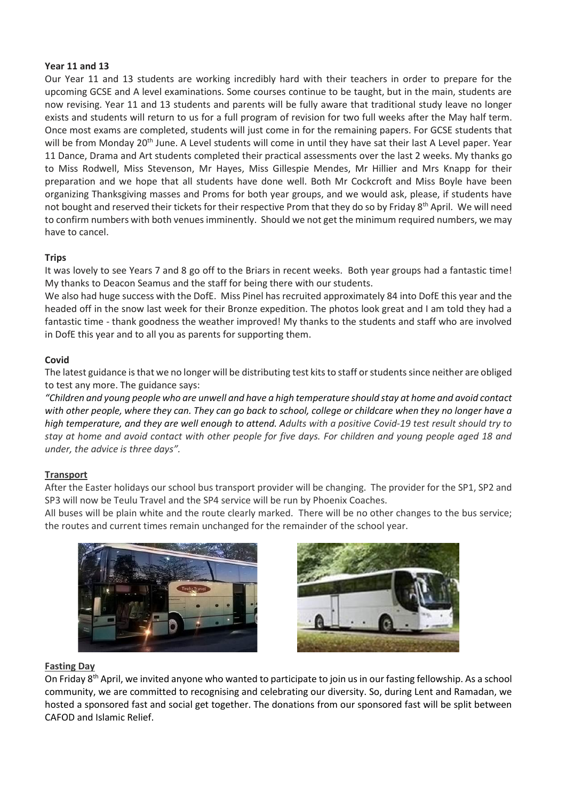## **Year 11 and 13**

Our Year 11 and 13 students are working incredibly hard with their teachers in order to prepare for the upcoming GCSE and A level examinations. Some courses continue to be taught, but in the main, students are now revising. Year 11 and 13 students and parents will be fully aware that traditional study leave no longer exists and students will return to us for a full program of revision for two full weeks after the May half term. Once most exams are completed, students will just come in for the remaining papers. For GCSE students that will be from Monday 20<sup>th</sup> June. A Level students will come in until they have sat their last A Level paper. Year 11 Dance, Drama and Art students completed their practical assessments over the last 2 weeks. My thanks go to Miss Rodwell, Miss Stevenson, Mr Hayes, Miss Gillespie Mendes, Mr Hillier and Mrs Knapp for their preparation and we hope that all students have done well. Both Mr Cockcroft and Miss Boyle have been organizing Thanksgiving masses and Proms for both year groups, and we would ask, please, if students have not bought and reserved their tickets for their respective Prom that they do so by Friday  $8^{th}$  April. We will need to confirm numbers with both venues imminently. Should we not get the minimum required numbers, we may have to cancel.

## **Trips**

It was lovely to see Years 7 and 8 go off to the Briars in recent weeks. Both year groups had a fantastic time! My thanks to Deacon Seamus and the staff for being there with our students.

We also had huge success with the DofE. Miss Pinel has recruited approximately 84 into DofE this year and the headed off in the snow last week for their Bronze expedition. The photos look great and I am told they had a fantastic time - thank goodness the weather improved! My thanks to the students and staff who are involved in DofE this year and to all you as parents for supporting them.

## **Covid**

The latest guidance is that we no longer will be distributing test kits to staff or students since neither are obliged to test any more. The guidance says:

*"Children and young people who are unwell and have a high temperature should stay at home and avoid contact with other people, where they can. They can go back to school, college or childcare when they no longer have a high temperature, and they are well enough to attend. Adults with a positive Covid-19 test result should try to stay at home and avoid contact with other people for five days. For children and young people aged 18 and under, the advice is three days".* 

## **Transport**

After the Easter holidays our school bus transport provider will be changing. The provider for the SP1, SP2 and SP3 will now be Teulu Travel and the SP4 service will be run by Phoenix Coaches.

All buses will be plain white and the route clearly marked. There will be no other changes to the bus service; the routes and current times remain unchanged for the remainder of the school year.





## **Fasting Day**

On Friday 8<sup>th</sup> April, we invited anyone who wanted to participate to join us in our fasting fellowship. As a school community, we are committed to recognising and celebrating our diversity. So, during Lent and Ramadan, we hosted a sponsored fast and social get together. The donations from our sponsored fast will be split between CAFOD and Islamic Relief.